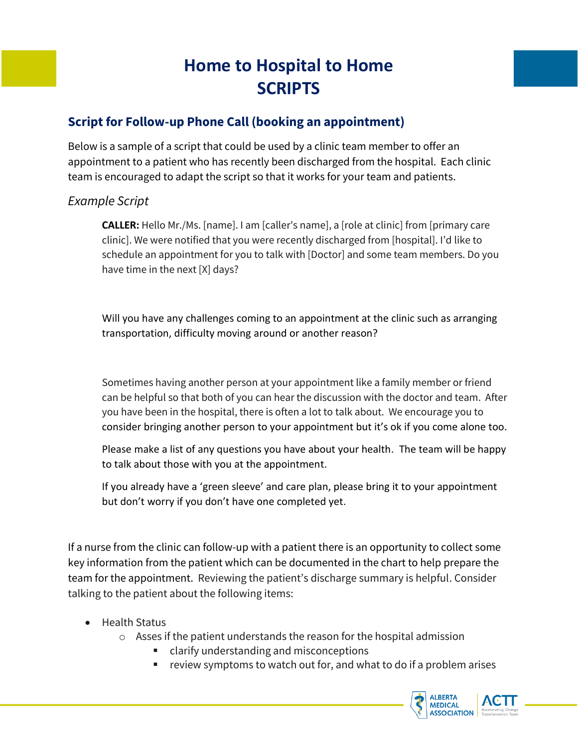## **Home to Hospital to Home SCRIPTS**

## **Script for Follow-up Phone Call (booking an appointment)**

Below is a sample of a script that could be used by a clinic team member to offer an appointment to a patient who has recently been discharged from the hospital. Each clinic team is encouraged to adapt the script so that it works for your team and patients.

## *Example Script*

**CALLER:** Hello Mr./Ms. [name]. I am [caller's name], a [role at clinic] from [primary care clinic]. We were notified that you were recently discharged from [hospital]. I'd like to schedule an appointment for you to talk with [Doctor] and some team members. Do you have time in the next [X] days?

Will you have any challenges coming to an appointment at the clinic such as arranging transportation, difficulty moving around or another reason?

Sometimes having another person at your appointment like a family member or friend can be helpful so that both of you can hear the discussion with the doctor and team. After you have been in the hospital, there is often a lot to talk about. We encourage you to consider bringing another person to your appointment but it's ok if you come alone too.

Please make a list of any questions you have about your health. The team will be happy to talk about those with you at the appointment.

If you already have a 'green sleeve' and care plan, please bring it to your appointment but don't worry if you don't have one completed yet.

If a nurse from the clinic can follow-up with a patient there is an opportunity to collect some key information from the patient which can be documented in the chart to help prepare the team for the appointment. Reviewing the patient's discharge summary is helpful. Consider talking to the patient about the following items:

- Health Status
	- o Asses if the patient understands the reason for the hospital admission
		- clarify understanding and misconceptions
		- review symptoms to watch out for, and what to do if a problem arises